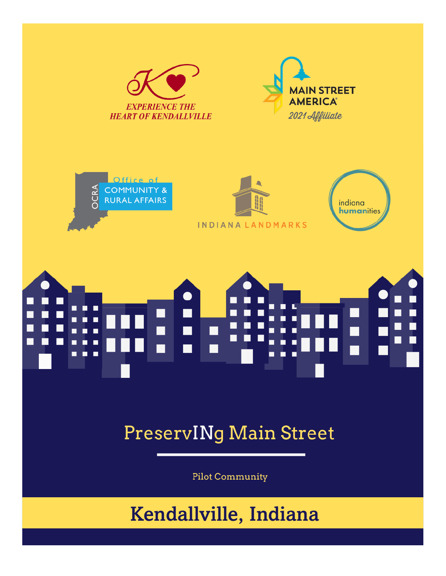

**INDIANALANDMARKS** 



### п г г

### **PreservINg Main Street**

**Pilot Community** 

### Kendallville, Indiana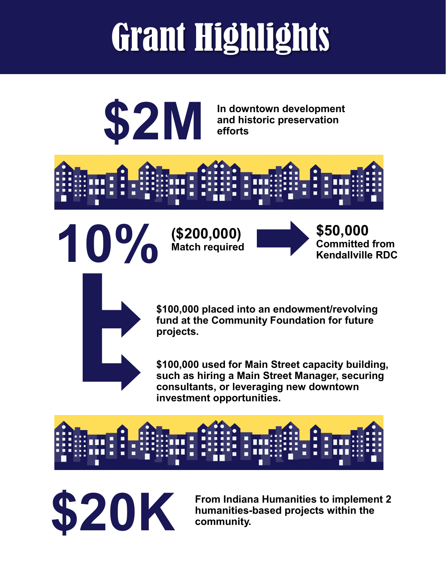## Grant Highlights



**\$2M** In downtown development<br>efforts **and historic preservation efforts**





**10% (\$200,000)**

**Match required**



**\$100,000 placed into an endowment/revolving fund at the Community Foundation for future projects.**

**\$100,000 used for Main Street capacity building, such as hiring a Main Street Manager, securing consultants, or leveraging new downtown investment opportunities.**



**\$20K From Indiana Humanities to implement 2**<br>**Examplement 2 humanities-based projects within the**<br>**COMMUNIST humanities-based projects within the community.**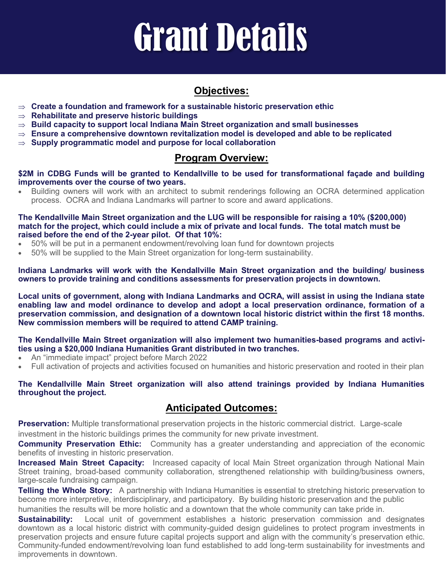## Grant Details

#### **Objectives:**

- **Create a foundation and framework for a sustainable historic preservation ethic**
- **Rehabilitate and preserve historic buildings**
- $\Rightarrow$  Build capacity to support local Indiana Main Street organization and small businesses
- **Ensure a comprehensive downtown revitalization model is developed and able to be replicated**
- **Supply programmatic model and purpose for local collaboration**

#### **Program Overview:**

**\$2M in CDBG Funds will be granted to Kendallville to be used for transformational façade and building improvements over the course of two years.**

• Building owners will work with an architect to submit renderings following an OCRA determined application process. OCRA and Indiana Landmarks will partner to score and award applications.

**The Kendallville Main Street organization and the LUG will be responsible for raising a 10% (\$200,000) match for the project, which could include a mix of private and local funds. The total match must be raised before the end of the 2-year pilot. Of that 10%:**

- 50% will be put in a permanent endowment/revolving loan fund for downtown projects
- 50% will be supplied to the Main Street organization for long-term sustainability.

**Indiana Landmarks will work with the Kendallville Main Street organization and the building/ business owners to provide training and conditions assessments for preservation projects in downtown.**

**Local units of government, along with Indiana Landmarks and OCRA, will assist in using the Indiana state enabling law and model ordinance to develop and adopt a local preservation ordinance, formation of a preservation commission, and designation of a downtown local historic district within the first 18 months. New commission members will be required to attend CAMP training.**

#### **The Kendallville Main Street organization will also implement two humanities-based programs and activities using a \$20,000 Indiana Humanities Grant distributed in two tranches.**

- An "immediate impact" project before March 2022
- Full activation of projects and activities focused on humanities and historic preservation and rooted in their plan

**The Kendallville Main Street organization will also attend trainings provided by Indiana Humanities throughout the project.**

#### **Anticipated Outcomes:**

**Preservation:** Multiple transformational preservation projects in the historic commercial district. Large-scale investment in the historic buildings primes the community for new private investment.

**Community Preservation Ethic:** Community has a greater understanding and appreciation of the economic benefits of investing in historic preservation.

**Increased Main Street Capacity:** Increased capacity of local Main Street organization through National Main Street training, broad-based community collaboration, strengthened relationship with building/business owners, large-scale fundraising campaign.

**Telling the Whole Story:** A partnership with Indiana Humanities is essential to stretching historic preservation to become more interpretive, interdisciplinary, and participatory. By building historic preservation and the public

humanities the results will be more holistic and a downtown that the whole community can take pride in.

**Sustainability:** Local unit of government establishes a historic preservation commission and designates downtown as a local historic district with community-guided design guidelines to protect program investments in preservation projects and ensure future capital projects support and align with the community's preservation ethic. Community-funded endowment/revolving loan fund established to add long-term sustainability for investments and improvements in downtown.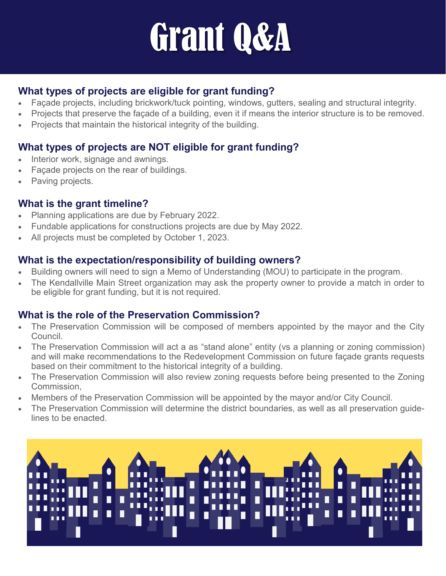## Grant Q&A

#### **What types of projects are eligible for grant funding?**

- Façade projects, including brickwork/tuck pointing, windows, gutters, sealing and structural integrity.
- Projects that preserve the façade of a building, even it if means the interior structure is to be removed.
- Projects that maintain the historical integrity of the building.

#### **What types of projects are NOT eligible for grant funding?**

- Interior work, signage and awnings.
- Façade projects on the rear of buildings.
- Paving projects.

#### **What is the grant timeline?**

- Planning applications are due by February 2022.
- Fundable applications for constructions projects are due by May 2022.
- All projects must be completed by October 1, 2023.

#### **What is the expectation/responsibility of building owners?**

- Building owners will need to sign a Memo of Understanding (MOU) to participate in the program.
- The Kendallville Main Street organization may ask the property owner to provide a match in order to be eligible for grant funding, but it is not required.

#### **What is the role of the Preservation Commission?**

- The Preservation Commission will be composed of members appointed by the mayor and the City Council.
- The Preservation Commission will act a as "stand alone" entity (vs a planning or zoning commission) and will make recommendations to the Redevelopment Commission on future façade grants requests based on their commitment to the historical integrity of a building.
- The Preservation Commission will also review zoning requests before being presented to the Zoning Commission,
- Members of the Preservation Commission will be appointed by the mayor and/or City Council.
- The Preservation Commission will determine the district boundaries, as well as all preservation guidelines to be enacted.

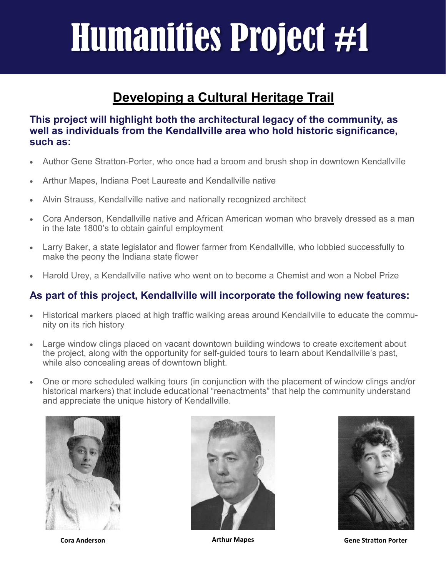## Humanities Project #1

#### **Developing a Cultural Heritage Trail**

**This project will highlight both the architectural legacy of the community, as well as individuals from the Kendallville area who hold historic significance, such as:**

- Author Gene Stratton-Porter, who once had a broom and brush shop in downtown Kendallville
- Arthur Mapes, Indiana Poet Laureate and Kendallville native
- Alvin Strauss, Kendallville native and nationally recognized architect
- Cora Anderson, Kendallville native and African American woman who bravely dressed as a man in the late 1800's to obtain gainful employment
- Larry Baker, a state legislator and flower farmer from Kendallville, who lobbied successfully to make the peony the Indiana state flower
- Harold Urey, a Kendallville native who went on to become a Chemist and won a Nobel Prize

#### **As part of this project, Kendallville will incorporate the following new features:**

- Historical markers placed at high traffic walking areas around Kendallville to educate the community on its rich history
- Large window clings placed on vacant downtown building windows to create excitement about the project, along with the opportunity for self-guided tours to learn about Kendallville's past, while also concealing areas of downtown blight.
- One or more scheduled walking tours (in conjunction with the placement of window clings and/or historical markers) that include educational "reenactments" that help the community understand and appreciate the unique history of Kendallville.







**Cora Anderson Arthur Mapes Gene Stratton Porter**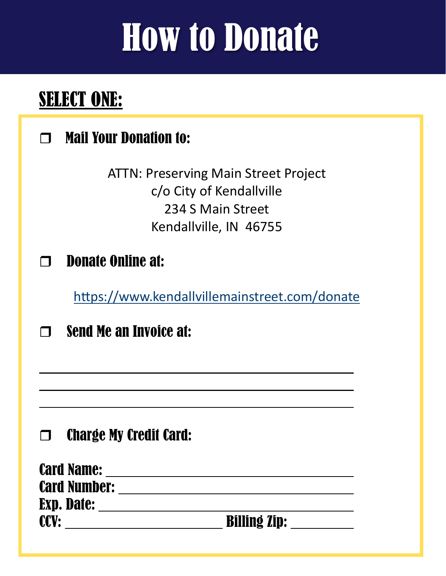## How to Donate

### **SELECT ONE:**

### **T** Mail Your Donation to:

ATTN: Preserving Main Street Project c/o City of Kendallville 234 S Main Street Kendallville, IN 46755

### $\Box$  Donate Online at:

https://www.kendallvillemainstreet.com/donate

 $\Box$  Send Me an Invoice at:

### **Charge My Credit Card:**

| <b>Card Name:</b>   |                     |
|---------------------|---------------------|
| <b>Card Number:</b> |                     |
| <b>Exp. Date:</b>   |                     |
| <b>CCV:</b>         | <b>Billing Zip:</b> |